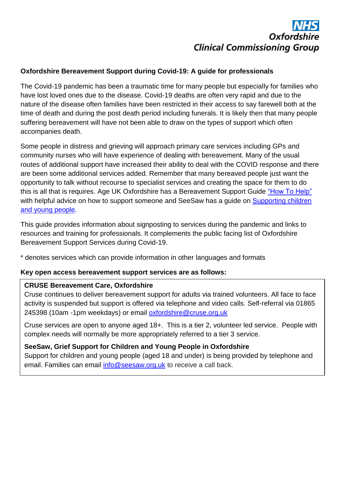# Oxfords **Clinical Commissioning Group**

# **Oxfordshire Bereavement Support during Covid-19: A guide for professionals**

The Covid-19 pandemic has been a traumatic time for many people but especially for families who have lost loved ones due to the disease. Covid-19 deaths are often very rapid and due to the nature of the disease often families have been restricted in their access to say farewell both at the time of death and during the post death period including funerals. It is likely then that many people suffering bereavement will have not been able to draw on the types of support which often accompanies death.

Some people in distress and grieving will approach primary care services including GPs and community nurses who will have experience of dealing with bereavement. Many of the usual routes of additional support have increased their ability to deal with the COVID response and there are been some additional services added. Remember that many bereaved people just want the opportunity to talk without recourse to specialist services and creating the space for them to do this is all that is requires. Age UK Oxfordshire has a Bereavement Support Guide ["How To Help"](https://www.ageuk.org.uk/bp-assets/globalassets/oxfordshire/how-to-help...a-bereavement-support-guide.pdf) with helpful advice on how to support someone and SeeSaw has a guide on Supporting children [and young people.](https://www.seesaw.org.uk/wp-content/uploads/2020/03/seesaw_general-booklet_WEB3-1.pdf)

This guide provides information about signposting to services during the pandemic and links to resources and training for professionals. It complements the public facing list of Oxfordshire Bereavement Support Services during Covid-19.

\* denotes services which can provide information in other languages and formats

# **Key open access bereavement support services are as follows:**

# **CRUSE Bereavement Care, Oxfordshire**

Cruse continues to deliver bereavement support for adults via trained volunteers. All face to face activity is suspended but support is offered via telephone and video calls. Self-referral via 01865 245398 (10am -1pm weekdays) or email [oxfordshire@cruse.org.uk](mailto:oxfordshire@cruse.org.uk)

Cruse services are open to anyone aged 18+. This is a tier 2, volunteer led service. People with complex needs will normally be more appropriately referred to a tier 3 service.

# **SeeSaw, Grief Support for Children and Young People in Oxfordshire**

Support for children and young people (aged 18 and under) is being provided by telephone and email. Families can email [info@seesaw.org.uk](mailto:info@seesaw.org.uk) to receive a call back.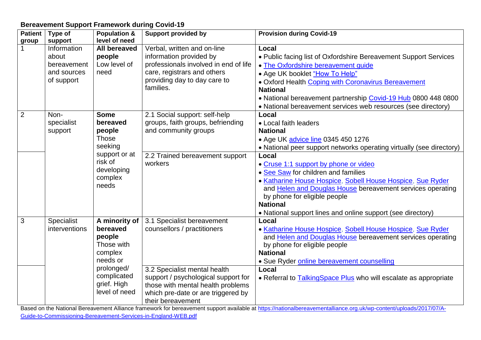#### **Bereavement Support Framework during Covid-19**

| <b>Patient</b> | Type of           | <b>Population &amp;</b> | <b>Support provided by</b>                                                                                                                                 | <b>Provision during Covid-19</b>                                     |
|----------------|-------------------|-------------------------|------------------------------------------------------------------------------------------------------------------------------------------------------------|----------------------------------------------------------------------|
| group          | support           | level of need           |                                                                                                                                                            |                                                                      |
|                | Information       | <b>All bereaved</b>     | Verbal, written and on-line                                                                                                                                | Local                                                                |
|                | about             | people                  | information provided by                                                                                                                                    | • Public facing list of Oxfordshire Bereavement Support Services     |
|                | bereavement       | Low level of            | professionals involved in end of life                                                                                                                      | • The Oxfordshire bereavement quide                                  |
|                | and sources       | need                    | care, registrars and others                                                                                                                                | • Age UK booklet "How To Help"                                       |
|                | of support        |                         | providing day to day care to                                                                                                                               | . Oxford Health Coping with Coronavirus Bereavement                  |
|                |                   |                         | families.                                                                                                                                                  | <b>National</b>                                                      |
|                |                   |                         |                                                                                                                                                            | • National bereavement partnership Covid-19 Hub 0800 448 0800        |
|                |                   |                         |                                                                                                                                                            | • National bereavement services web resources (see directory)        |
| $\overline{2}$ | Non-              | <b>Some</b>             | 2.1 Social support: self-help                                                                                                                              | Local                                                                |
|                | specialist        | bereaved                | groups, faith groups, befriending                                                                                                                          | • Local faith leaders                                                |
|                | support           | people                  | and community groups                                                                                                                                       | <b>National</b>                                                      |
|                |                   | <b>Those</b>            |                                                                                                                                                            | • Age UK advice line 0345 450 1276                                   |
|                |                   | seeking                 |                                                                                                                                                            | • National peer support networks operating virtually (see directory) |
|                |                   | support or at           | 2.2 Trained bereavement support                                                                                                                            | Local                                                                |
|                |                   | risk of                 | workers                                                                                                                                                    | • Cruse 1:1 support by phone or video                                |
|                |                   | developing              |                                                                                                                                                            | • See Saw for children and families                                  |
|                |                   | complex<br>needs        |                                                                                                                                                            | · Katharine House Hospice, Sobell House Hospice, Sue Ryder           |
|                |                   |                         |                                                                                                                                                            | and Helen and Douglas House bereavement services operating           |
|                |                   |                         |                                                                                                                                                            | by phone for eligible people                                         |
|                |                   |                         |                                                                                                                                                            | <b>National</b>                                                      |
|                |                   |                         |                                                                                                                                                            | • National support lines and online support (see directory)          |
| 3              | <b>Specialist</b> | A minority of           | 3.1 Specialist bereavement                                                                                                                                 | Local                                                                |
|                | interventions     | bereaved                | counsellors / practitioners                                                                                                                                | · Katharine House Hospice, Sobell House Hospice, Sue Ryder           |
|                |                   | people                  |                                                                                                                                                            | and Helen and Douglas House bereavement services operating           |
|                |                   | Those with              |                                                                                                                                                            | by phone for eligible people                                         |
|                |                   | complex                 |                                                                                                                                                            | <b>National</b>                                                      |
|                |                   | needs or                |                                                                                                                                                            | • Sue Ryder online bereavement counselling                           |
|                |                   | prolonged/              | 3.2 Specialist mental health                                                                                                                               | Local                                                                |
|                |                   | complicated             | support / psychological support for                                                                                                                        | • Referral to TalkingSpace Plus who will escalate as appropriate     |
|                |                   | grief. High             | those with mental health problems                                                                                                                          |                                                                      |
|                |                   | level of need           | which pre-date or are triggered by                                                                                                                         |                                                                      |
|                |                   |                         | their bereavement<br>. The second contract of the second contract of $H_{\rm eff}$<br>$\mathbf{u} = \mathbf{f} \cdot \mathbf{f}$ . The set of $\mathbf{f}$ |                                                                      |

Based on the National Bereavement Alliance framework for bereavement support available at [https://nationalbereavementalliance.org.uk/wp-content/uploads/2017/07/A-](https://nationalbereavementalliance.org.uk/wp-content/uploads/2017/07/A-Guide-to-Commissioning-Bereavement-Services-in-England-WEB.pdf)[Guide-to-Commissioning-Bereavement-Services-in-England-WEB.pdf](https://nationalbereavementalliance.org.uk/wp-content/uploads/2017/07/A-Guide-to-Commissioning-Bereavement-Services-in-England-WEB.pdf)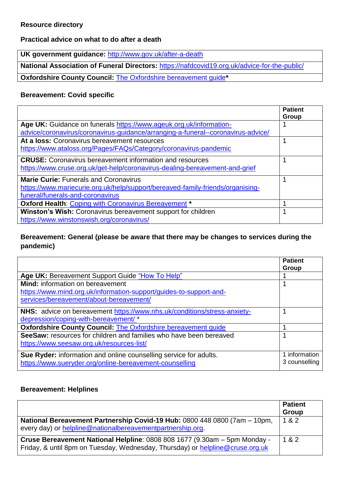#### **Resource directory**

**Practical advice on what to do after a death**

**UK government guidance:** <http://www.gov.uk/after-a-death>

**National Association of Funeral Directors:** <https://nafdcovid19.org.uk/advice-for-the-public/>

**Oxfordshire County Council:** [The Oxfordshire bereavement guide](https://www2.oxfordshire.gov.uk/cms/sites/default/files/folders/documents/communityandliving/birthdeathmarriage/deaths/oxfordshirebereavementguide.pdf)**\***

#### **Bereavement: Covid specific**

|                                                                                  | <b>Patient</b><br>Group |
|----------------------------------------------------------------------------------|-------------------------|
| Age UK: Guidance on funerals https://www.ageuk.org.uk/information-               |                         |
| advice/coronavirus/coronavirus-guidance/arranging-a-funeral--coronavirus-advice/ |                         |
| At a loss: Coronavirus bereavement resources                                     |                         |
| https://www.ataloss.org/Pages/FAQs/Category/coronavirus-pandemic                 |                         |
| <b>CRUSE:</b> Coronavirus bereavement information and resources                  |                         |
| https://www.cruse.org.uk/get-help/coronavirus-dealing-bereavement-and-grief      |                         |
| <b>Marie Curie: Funerals and Coronavirus</b>                                     |                         |
| https://www.mariecurie.org.uk/help/support/bereaved-family-friends/organising-   |                         |
| funeral/funerals-and-coronavirus                                                 |                         |
| Oxford Health: Coping with Coronavirus Bereavement *                             |                         |
| Winston's Wish: Coronavirus bereavement support for children                     |                         |
| https://www.winstonswish.org/coronavirus/                                        |                         |

#### **Bereavement: General (please be aware that there may be changes to services during the pandemic)**

|                                                                          | <b>Patient</b><br>Group |
|--------------------------------------------------------------------------|-------------------------|
| Age UK: Bereavement Support Guide "How To Help"                          |                         |
|                                                                          |                         |
| <b>Mind:</b> information on bereavement                                  |                         |
| https://www.mind.org.uk/information-support/guides-to-support-and-       |                         |
| services/bereavement/about-bereavement/                                  |                         |
| NHS: advice on bereavement https://www.nhs.uk/conditions/stress-anxiety- |                         |
| depression/coping-with-bereavement/*                                     |                         |
| <b>Oxfordshire County Council: The Oxfordshire bereavement guide</b>     |                         |
| SeeSaw: resources for children and families who have been bereaved       |                         |
| https://www.seesaw.org.uk/resources-list/                                |                         |
| Sue Ryder: information and online counselling service for adults.        | 1 information           |
| https://www.sueryder.org/online-bereavement-counselling                  | 3 counselling           |
|                                                                          |                         |

#### **Bereavement: Helplines**

|                                                                                                                                                            | <b>Patient</b><br>Group |
|------------------------------------------------------------------------------------------------------------------------------------------------------------|-------------------------|
| National Bereavement Partnership Covid-19 Hub: 0800 448 0800 (7am - 10pm,<br>every day) or helpline@nationalbereavementpartnership.org.                    | 1 & 2                   |
| Cruse Bereavement National Helpline: 0808 808 1677 (9.30am - 5pm Monday -<br>Friday, & until 8pm on Tuesday, Wednesday, Thursday) or helpline@cruse.org.uk | 1 & 2                   |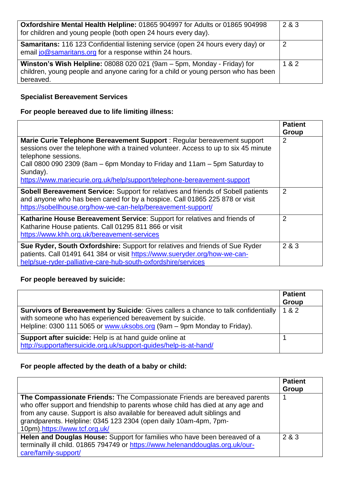| Oxfordshire Mental Health Helpline: 01865 904997 for Adults or 01865 904998<br>for children and young people (both open 24 hours every day).                              | 2 & 3 |
|---------------------------------------------------------------------------------------------------------------------------------------------------------------------------|-------|
| <b>Samaritans:</b> 116 123 Confidential listening service (open 24 hours every day) or<br>email jo@samaritans.org for a response within 24 hours.                         | 2     |
| Winston's Wish Helpline: 08088 020 021 (9am - 5pm, Monday - Friday) for<br>children, young people and anyone caring for a child or young person who has been<br>bereaved. | 1 & 2 |

#### **Specialist Bereavement Services**

# **For people bereaved due to life limiting illness:**

|                                                                                                                                                                                                                                                                                                                                                                | <b>Patient</b><br>Group |
|----------------------------------------------------------------------------------------------------------------------------------------------------------------------------------------------------------------------------------------------------------------------------------------------------------------------------------------------------------------|-------------------------|
| Marie Curie Telephone Bereavement Support : Regular bereavement support<br>sessions over the telephone with a trained volunteer. Access to up to six 45 minute<br>telephone sessions.<br>Call 0800 090 2309 (8am $-$ 6pm Monday to Friday and 11am $-$ 5pm Saturday to<br>Sunday).<br>https://www.mariecurie.org.uk/help/support/telephone-bereavement-support | $\overline{2}$          |
| <b>Sobell Bereavement Service:</b> Support for relatives and friends of Sobell patients<br>and anyone who has been cared for by a hospice. Call 01865 225 878 or visit<br>https://sobellhouse.org/how-we-can-help/bereavement-support/                                                                                                                         | $\overline{2}$          |
| Katharine House Bereavement Service: Support for relatives and friends of<br>Katharine House patients. Call 01295 811 866 or visit<br>https://www.khh.org.uk/bereavement-services                                                                                                                                                                              | $\overline{2}$          |
| Sue Ryder, South Oxfordshire: Support for relatives and friends of Sue Ryder<br>patients. Call 01491 641 384 or visit https://www.sueryder.org/how-we-can-<br>help/sue-ryder-palliative-care-hub-south-oxfordshire/services                                                                                                                                    | 2 & 3                   |

# **For people bereaved by suicide:**

|                                                                                                                                                                                                                                  | <b>Patient</b><br>Group |
|----------------------------------------------------------------------------------------------------------------------------------------------------------------------------------------------------------------------------------|-------------------------|
| <b>Survivors of Bereavement by Suicide:</b> Gives callers a chance to talk confidentially<br>with someone who has experienced bereavement by suicide.<br>Helpline: 0300 111 5065 or www.uksobs.org (9am – 9pm Monday to Friday). | 1 & 2                   |
| <b>Support after suicide:</b> Help is at hand guide online at<br>http://supportaftersuicide.org.uk/support-guides/help-is-at-hand/                                                                                               |                         |

# **For people affected by the death of a baby or child:**

|                                                                                                                                                                                                                                                                                                                                                | <b>Patient</b><br>Group |
|------------------------------------------------------------------------------------------------------------------------------------------------------------------------------------------------------------------------------------------------------------------------------------------------------------------------------------------------|-------------------------|
| The Compassionate Friends: The Compassionate Friends are bereaved parents<br>who offer support and friendship to parents whose child has died at any age and<br>from any cause. Support is also available for bereaved adult siblings and<br>grandparents. Helpline: 0345 123 2304 (open daily 10am-4pm, 7pm-<br>10pm).https://www.tcf.org.uk/ |                         |
| Helen and Douglas House: Support for families who have been bereaved of a<br>terminally ill child. 01865 794749 or https://www.helenanddouglas.org.uk/our-<br>care/family-support/                                                                                                                                                             | 2 & 3                   |